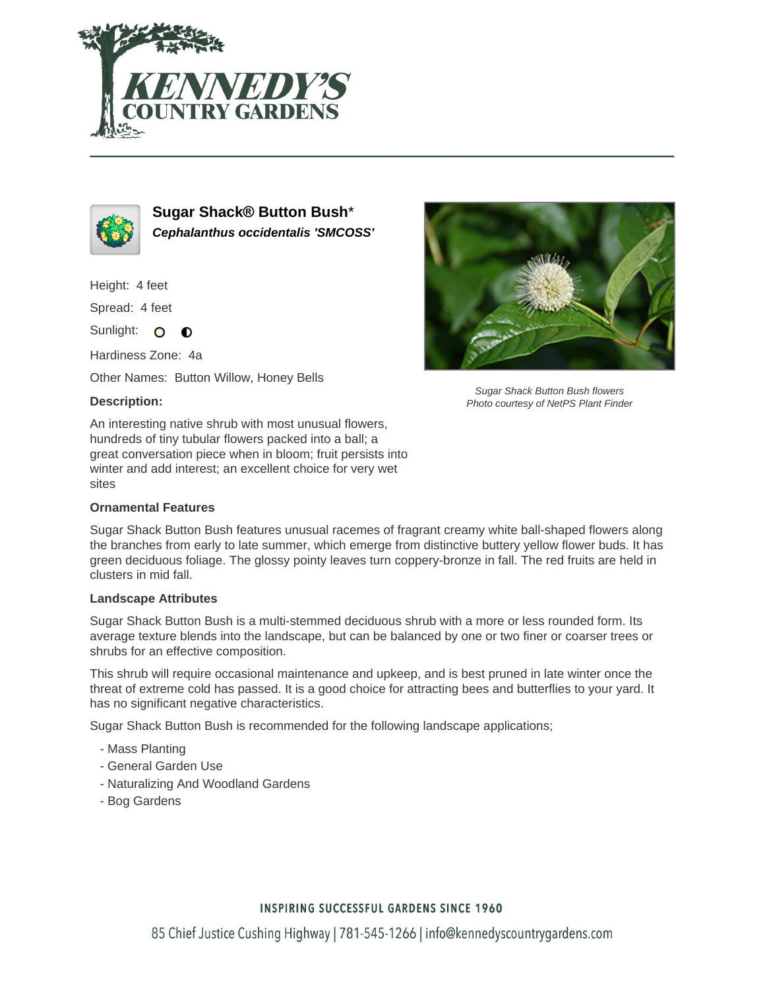



**Sugar Shack® Button Bush**\* **Cephalanthus occidentalis 'SMCOSS'**

Height: 4 feet

Spread: 4 feet

Sunlight: O  $\bullet$ 

Hardiness Zone: 4a

Other Names: Button Willow, Honey Bells

### **Description:**

An interesting native shrub with most unusual flowers, hundreds of tiny tubular flowers packed into a ball; a great conversation piece when in bloom; fruit persists into winter and add interest; an excellent choice for very wet sites

### **Ornamental Features**



Sugar Shack Button Bush flowers Photo courtesy of NetPS Plant Finder

Sugar Shack Button Bush features unusual racemes of fragrant creamy white ball-shaped flowers along the branches from early to late summer, which emerge from distinctive buttery yellow flower buds. It has green deciduous foliage. The glossy pointy leaves turn coppery-bronze in fall. The red fruits are held in clusters in mid fall.

### **Landscape Attributes**

Sugar Shack Button Bush is a multi-stemmed deciduous shrub with a more or less rounded form. Its average texture blends into the landscape, but can be balanced by one or two finer or coarser trees or shrubs for an effective composition.

This shrub will require occasional maintenance and upkeep, and is best pruned in late winter once the threat of extreme cold has passed. It is a good choice for attracting bees and butterflies to your yard. It has no significant negative characteristics.

Sugar Shack Button Bush is recommended for the following landscape applications;

- Mass Planting
- General Garden Use
- Naturalizing And Woodland Gardens
- Bog Gardens

## **INSPIRING SUCCESSFUL GARDENS SINCE 1960**